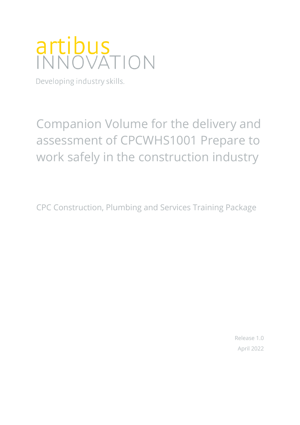# artibus<br>INNOVATION

Developing industry skills.

## Companion Volume for the delivery and assessment of CPCWHS1001 Prepare to work safely in the construction industry

CPC Construction, Plumbing and Services Training Package

Release 1.0 April 2022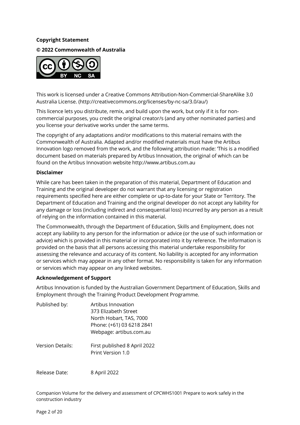#### **Copyright Statement**

**© 2022 Commonwealth of Australia**



This work is licensed under a Creative Commons Attribution-Non-Commercial-ShareAlike 3.0 Australia License. (http://creativecommons.org/licenses/by-nc-sa/3.0/au/)

This licence lets you distribute, remix, and build upon the work, but only if it is for noncommercial purposes, you credit the original creator/s (and any other nominated parties) and you license your derivative works under the same terms.

The copyright of any adaptations and/or modifications to this material remains with the Commonwealth of Australia. Adapted and/or modified materials must have the Artibus Innovation logo removed from the work, and the following attribution made: 'This is a modified document based on materials prepared by Artibus Innovation, the original of which can be found on the Artibus Innovation website http://www.artibus.com.au

#### **Disclaimer**

While care has been taken in the preparation of this material, Department of Education and Training and the original developer do not warrant that any licensing or registration requirements specified here are either complete or up-to-date for your State or Territory. The Department of Education and Training and the original developer do not accept any liability for any damage or loss (including indirect and consequential loss) incurred by any person as a result of relying on the information contained in this material.

The Commonwealth, through the Department of Education, Skills and Employment, does not accept any liability to any person for the information or advice (or the use of such information or advice) which is provided in this material or incorporated into it by reference. The information is provided on the basis that all persons accessing this material undertake responsibility for assessing the relevance and accuracy of its content. No liability is accepted for any information or services which may appear in any other format. No responsibility is taken for any information or services which may appear on any linked websites.

#### **Acknowledgement of Support**

Artibus Innovation is funded by the Australian Government Department of Education, Skills and Employment through the Training Product Development Programme.

| Published by:    | Artibus Innovation                                |
|------------------|---------------------------------------------------|
|                  | 373 Elizabeth Street                              |
|                  | North Hobart, TAS, 7000                           |
|                  | Phone: (+61) 03 6218 2841                         |
|                  | Webpage: artibus.com.au                           |
| Version Details: | First published 8 April 2022<br>Print Version 1.0 |
|                  |                                                   |

Release Date: 8 April 2022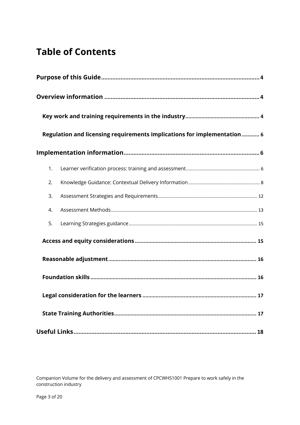## **Table of Contents**

|    | Regulation and licensing requirements implications for implementation 6 |
|----|-------------------------------------------------------------------------|
|    |                                                                         |
| 1. |                                                                         |
| 2. |                                                                         |
| 3. |                                                                         |
| 4. |                                                                         |
| 5. |                                                                         |
|    |                                                                         |
|    |                                                                         |
|    |                                                                         |
|    |                                                                         |
|    |                                                                         |
|    |                                                                         |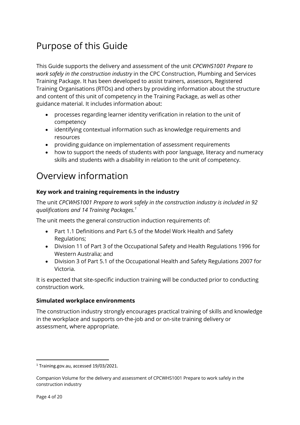## Purpose of this Guide

This Guide supports the delivery and assessment of the unit *CPCWHS1001 Prepare to work safely in the construction industry* in the CPC Construction, Plumbing and Services Training Package. It has been developed to assist trainers, assessors, Registered Training Organisations (RTOs) and others by providing information about the structure and content of this unit of competency in the Training Package, as well as other guidance material. It includes information about:

- processes regarding learner identity verification in relation to the unit of competency
- identifying contextual information such as knowledge requirements and resources
- providing guidance on implementation of assessment requirements
- how to support the needs of students with poor language, literacy and numeracy skills and students with a disability in relation to the unit of competency.

### Overview information

#### **Key work and training requirements in the industry**

The unit *CPCWHS1001 Prepare to work safely in the construction industry is included in 92 qualifications and 14 Training Packages.1*

The unit meets the general construction induction requirements of:

- Part 1.1 Definitions and Part 6.5 of the Model Work Health and Safety Regulations;
- Division 11 of Part 3 of the Occupational Safety and Health Regulations 1996 for Western Australia; and
- Division 3 of Part 5.1 of the Occupational Health and Safety Regulations 2007 for Victoria.

It is expected that site-specific induction training will be conducted prior to conducting construction work.

#### **Simulated workplace environments**

The construction industry strongly encourages practical training of skills and knowledge in the workplace and supports on-the-job and or on-site training delivery or assessment, where appropriate.

<sup>1</sup> Training.gov.au, accessed 19/03/2021.

Companion Volume for the delivery and assessment of CPCWHS1001 Prepare to work safely in the construction industry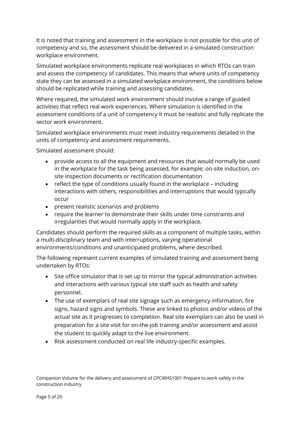It is noted that training and assessment in the workplace is not possible for this unit of competency and so, the assessment should be delivered in a simulated construction workplace environment.

Simulated workplace environments replicate real workplaces in which RTOs can train and assess the competency of candidates. This means that where units of competency state they can be assessed in a simulated workplace environment, the conditions below should be replicated while training and assessing candidates.

Where required, the simulated work environment should involve a range of guided activities that reflect real work experiences. Where simulation is identified in the assessment conditions of a unit of competency it must be realistic and fully replicate the sector work environment.

Simulated workplace environments must meet industry requirements detailed in the units of competency and assessment requirements.

Simulated assessment should:

- provide access to all the equipment and resources that would normally be used in the workplace for the task being assessed, for example; on-site induction, onsite inspection documents or rectification documentation
- reflect the type of conditions usually found in the workplace including interactions with others, responsibilities and interruptions that would typically occur
- present realistic scenarios and problems
- require the learner to demonstrate their skills under time constraints and irregularities that would normally apply in the workplace.

Candidates should perform the required skills as a component of multiple tasks, within a multi-disciplinary team and with interruptions, varying operational environments/conditions and unanticipated problems, where described.

The following represent current examples of simulated training and assessment being undertaken by RTOs:

- Site office simulator that is set up to mirror the typical administration activities and interactions with various typical site staff such as health and safety personnel.
- The use of exemplars of real site signage such as emergency information, fire signs, hazard signs and symbols. These are linked to photos and/or videos of the actual site as it progresses to completion. Real site exemplars can also be used in preparation for a site visit for on-the-job training and/or assessment and assist the student to quickly adapt to the live environment.
- Risk assessment conducted on real life industry-specific examples.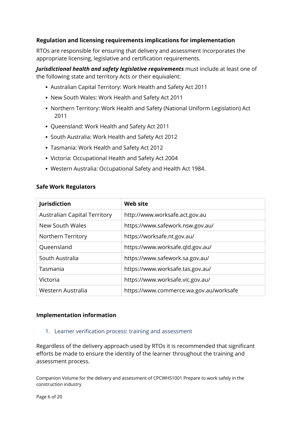#### **Regulation and licensing requirements implications for implementation**

RTOs are responsible for ensuring that delivery and assessment incorporates the appropriate licensing, legislative and certification requirements.

*Jurisdictional health and safety legislative requirements* must include at least one of the following state and territory Acts or their equivalent:

- § Australian Capital Territory: Work Health and Safety Act 2011
- § New South Wales: Work Health and Safety Act 2011
- § Northern Territory: Work Health and Safety (National Uniform Legislation) Act 2011
- § Queensland: Work Health and Safety Act 2011
- § South Australia: Work Health and Safety Act 2012
- § Tasmania: Work Health and Safety Act 2012
- § Victoria: Occupational Health and Safety Act 2004
- § Western Australia: Occupational Safety and Health Act 1984.

|  | <b>Safe Work Regulators</b> |  |  |
|--|-----------------------------|--|--|
|--|-----------------------------|--|--|

| Jurisdiction                        | <b>Web site</b>                         |
|-------------------------------------|-----------------------------------------|
| <b>Australian Capital Territory</b> | http://www.worksafe.act.gov.au          |
| New South Wales                     | https://www.safework.nsw.gov.au/        |
| Northern Territory                  | https://worksafe.nt.gov.au/             |
| Queensland                          | https://www.worksafe.qld.gov.au/        |
| South Australia                     | https://www.safework.sa.gov.au/         |
| Tasmania                            | https://www.worksafe.tas.gov.au/        |
| Victoria                            | https://www.worksafe.vic.gov.au/        |
| Western Australia                   | https://www.commerce.wa.gov.au/worksafe |

#### **Implementation information**

#### 1. Learner verification process: training and assessment

Regardless of the delivery approach used by RTOs it is recommended that significant efforts be made to ensure the identity of the learner throughout the training and assessment process.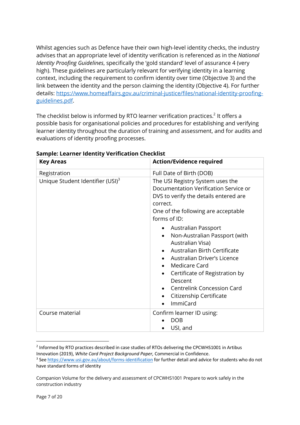Whilst agencies such as Defence have their own high-level identity checks, the industry advises that an appropriate level of identity verification is referenced as in the *National Identity Proofing Guidelines*, specifically the 'gold standard' level of assurance 4 (very high). These guidelines are particularly relevant for verifying identity in a learning context, including the requirement to confirm identity over time (Objective 3) and the link between the identity and the person claiming the identity (Objective 4). For further details: https://www.homeaffairs.gov.au/criminal-justice/files/national-identity-proofingguidelines.pdf.

The checklist below is informed by RTO learner verification practices.<sup>2</sup> It offers a possible basis for organisational policies and procedures for establishing and verifying learner identity throughout the duration of training and assessment, and for audits and evaluations of identity proofing processes.

| <b>Key Areas</b>                             | <b>Action/Evidence required</b>                                                                                                                                                                                                                                                                                                                                                                                                                                                                                          |
|----------------------------------------------|--------------------------------------------------------------------------------------------------------------------------------------------------------------------------------------------------------------------------------------------------------------------------------------------------------------------------------------------------------------------------------------------------------------------------------------------------------------------------------------------------------------------------|
| Registration                                 | Full Date of Birth (DOB)                                                                                                                                                                                                                                                                                                                                                                                                                                                                                                 |
| Unique Student Identifier (USI) <sup>3</sup> | The USI Registry System uses the<br>Documentation Verification Service or<br>DVS to verify the details entered are<br>correct.<br>One of the following are acceptable<br>forms of ID:<br>Australian Passport<br>$\bullet$<br>Non-Australian Passport (with<br>$\bullet$<br>Australian Visa)<br>Australian Birth Certificate<br>Australian Driver's Licence<br>Medicare Card<br>Certificate of Registration by<br>$\bullet$<br>Descent<br><b>Centrelink Concession Card</b><br>Citizenship Certificate<br><b>ImmiCard</b> |
| Course material                              | Confirm learner ID using:<br><b>DOB</b><br>USI, and                                                                                                                                                                                                                                                                                                                                                                                                                                                                      |

**Sample: Learner Identity Verification Checklist**

<sup>&</sup>lt;sup>2</sup> Informed by RTO practices described in case studies of RTOs delivering the CPCWHS1001 in Artibus Innovation (2019), *White Card Project Background Paper,* Commercial in Confidence.

<sup>3</sup> See https://www.usi.gov.au/about/forms-identification for further detail and advice for students who do not have standard forms of identity

Companion Volume for the delivery and assessment of CPCWHS1001 Prepare to work safely in the construction industry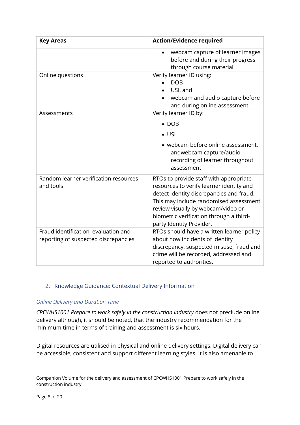| <b>Key Areas</b>                                   | <b>Action/Evidence required</b>                                                                                                                                                                                                                                                       |
|----------------------------------------------------|---------------------------------------------------------------------------------------------------------------------------------------------------------------------------------------------------------------------------------------------------------------------------------------|
|                                                    | webcam capture of learner images<br>before and during their progress<br>through course material                                                                                                                                                                                       |
| Online questions                                   | Verify learner ID using:<br><b>DOB</b><br>USI, and<br>webcam and audio capture before<br>and during online assessment                                                                                                                                                                 |
| Assessments                                        | Verify learner ID by:                                                                                                                                                                                                                                                                 |
|                                                    | $\bullet$ DOB                                                                                                                                                                                                                                                                         |
|                                                    | $\bullet$ USI                                                                                                                                                                                                                                                                         |
|                                                    | • webcam before online assessment,<br>andwebcam capture/audio<br>recording of learner throughout<br>assessment                                                                                                                                                                        |
| Random learner verification resources<br>and tools | RTOs to provide staff with appropriate<br>resources to verify learner identity and<br>detect identity discrepancies and fraud.<br>This may include randomised assessment<br>review visually by webcam/video or<br>biometric verification through a third-<br>party Identity Provider. |
| Fraud identification, evaluation and               | RTOs should have a written learner policy                                                                                                                                                                                                                                             |
| reporting of suspected discrepancies               | about how incidents of identity<br>discrepancy, suspected misuse, fraud and<br>crime will be recorded, addressed and<br>reported to authorities.                                                                                                                                      |

#### 2. Knowledge Guidance: Contextual Delivery Information

#### *Online Delivery and Duration Time*

*CPCWHS1001 Prepare to work safely in the construction industry* does not preclude online delivery although, it should be noted, that the industry recommendation for the minimum time in terms of training and assessment is six hours.

Digital resources are utilised in physical and online delivery settings. Digital delivery can be accessible, consistent and support different learning styles. It is also amenable to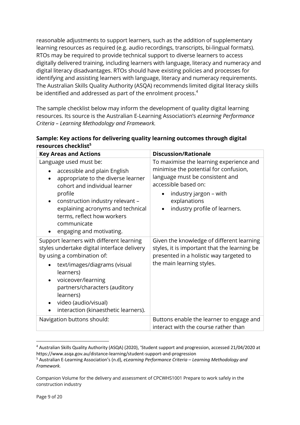reasonable adjustments to support learners, such as the addition of supplementary learning resources as required (e.g. audio recordings, transcripts, bi-lingual formats). RTOs may be required to provide technical support to diverse learners to access digitally delivered training, including learners with language, literacy and numeracy and digital literacy disadvantages. RTOs should have existing policies and processes for identifying and assisting learners with language, literacy and numeracy requirements. The Australian Skills Quality Authority (ASQA) recommends limited digital literacy skills be identified and addressed as part of the enrolment process.<sup>4</sup>

The sample checklist below may inform the development of quality digital learning resources. Its source is the Australian E-Learning Association's *eLearning Performance Criteria – Learning Methodology and Framework.*

| Sample: Key actions for delivering quality learning outcomes through digital |  |
|------------------------------------------------------------------------------|--|
| resources checklist <sup>5</sup>                                             |  |

| <b>Key Areas and Actions</b>                                                                                                                                                                                                                                                                                                     | <b>Discussion/Rationale</b>                                                                                                                                                                                            |
|----------------------------------------------------------------------------------------------------------------------------------------------------------------------------------------------------------------------------------------------------------------------------------------------------------------------------------|------------------------------------------------------------------------------------------------------------------------------------------------------------------------------------------------------------------------|
| Language used must be:<br>accessible and plain English<br>$\bullet$<br>appropriate to the diverse learner<br>$\bullet$<br>cohort and individual learner<br>profile<br>construction industry relevant -<br>explaining acronyms and technical<br>terms, reflect how workers<br>communicate<br>engaging and motivating.             | To maximise the learning experience and<br>minimise the potential for confusion,<br>language must be consistent and<br>accessible based on:<br>industry jargon - with<br>explanations<br>industry profile of learners. |
| Support learners with different learning<br>styles undertake digital interface delivery<br>by using a combination of:<br>text/images/diagrams (visual<br>learners)<br>voiceover/learning<br>partners/characters (auditory<br>learners)<br>video (audio/visual)<br>$\bullet$<br>interaction (kinaesthetic learners).<br>$\bullet$ | Given the knowledge of different learning<br>styles, it is important that the learning be<br>presented in a holistic way targeted to<br>the main learning styles.                                                      |
| Navigation buttons should:                                                                                                                                                                                                                                                                                                       | Buttons enable the learner to engage and<br>interact with the course rather than                                                                                                                                       |

<sup>4</sup> Australian Skills Quality Authority (ASQA) (2020), 'Student support and progression, accessed 21/04/2020 at https://www.asqa.gov.au/distance-learning/student-support-and-progression

<sup>5</sup> Australian E-Learning Association's (n.d), *eLearning Performance Criteria – Learning Methodology and Framework.*

Companion Volume for the delivery and assessment of CPCWHS1001 Prepare to work safely in the construction industry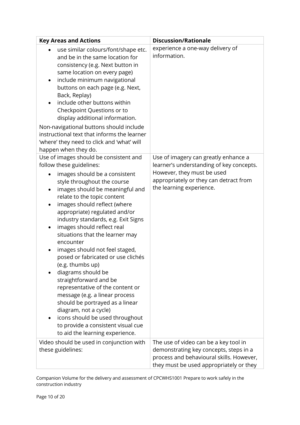| <b>Key Areas and Actions</b>                                                                                                                                                                                                                                                                                                                                                                                                                                                                                                                                                                                                                                                                                                                                                                                                                  | <b>Discussion/Rationale</b>                                                                                                                                                          |
|-----------------------------------------------------------------------------------------------------------------------------------------------------------------------------------------------------------------------------------------------------------------------------------------------------------------------------------------------------------------------------------------------------------------------------------------------------------------------------------------------------------------------------------------------------------------------------------------------------------------------------------------------------------------------------------------------------------------------------------------------------------------------------------------------------------------------------------------------|--------------------------------------------------------------------------------------------------------------------------------------------------------------------------------------|
| use similar colours/font/shape etc.<br>$\bullet$<br>and be in the same location for<br>consistency (e.g. Next button in<br>same location on every page)<br>include minimum navigational<br>$\bullet$<br>buttons on each page (e.g. Next,<br>Back, Replay)<br>include other buttons within<br>Checkpoint Questions or to<br>display additional information.<br>Non-navigational buttons should include<br>instructional text that informs the learner<br>'where' they need to click and 'what' will<br>happen when they do.                                                                                                                                                                                                                                                                                                                    | experience a one-way delivery of<br>information.                                                                                                                                     |
| Use of images should be consistent and<br>follow these guidelines:<br>images should be a consistent<br>$\bullet$<br>style throughout the course<br>images should be meaningful and<br>$\bullet$<br>relate to the topic content<br>images should reflect (where<br>$\bullet$<br>appropriate) regulated and/or<br>industry standards, e.g. Exit Signs<br>images should reflect real<br>$\bullet$<br>situations that the learner may<br>encounter<br>images should not feel staged,<br>٠<br>posed or fabricated or use clichés<br>(e.g. thumbs up)<br>diagrams should be<br>straightforward and be<br>representative of the content or<br>message (e.g. a linear process<br>should be portrayed as a linear<br>diagram, not a cycle)<br>icons should be used throughout<br>to provide a consistent visual cue<br>to aid the learning experience. | Use of imagery can greatly enhance a<br>learner's understanding of key concepts.<br>However, they must be used<br>appropriately or they can detract from<br>the learning experience. |
| Video should be used in conjunction with<br>these guidelines:                                                                                                                                                                                                                                                                                                                                                                                                                                                                                                                                                                                                                                                                                                                                                                                 | The use of video can be a key tool in<br>demonstrating key concepts, steps in a<br>process and behavioural skills. However,<br>they must be used appropriately or they               |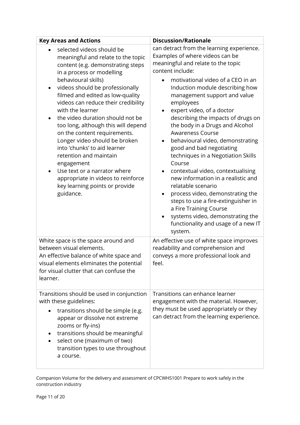| <b>Key Areas and Actions</b>                                                                                                                                                                                                                                                                                                                                                                                                                                                                                                                                                                                                        | <b>Discussion/Rationale</b>                                                                                                                                                                                                                                                                                                                                                                                                                                                                                                                                                                                                                                                                                                                                                                                                        |
|-------------------------------------------------------------------------------------------------------------------------------------------------------------------------------------------------------------------------------------------------------------------------------------------------------------------------------------------------------------------------------------------------------------------------------------------------------------------------------------------------------------------------------------------------------------------------------------------------------------------------------------|------------------------------------------------------------------------------------------------------------------------------------------------------------------------------------------------------------------------------------------------------------------------------------------------------------------------------------------------------------------------------------------------------------------------------------------------------------------------------------------------------------------------------------------------------------------------------------------------------------------------------------------------------------------------------------------------------------------------------------------------------------------------------------------------------------------------------------|
| selected videos should be<br>meaningful and relate to the topic<br>content (e.g. demonstrating steps<br>in a process or modelling<br>behavioural skills)<br>videos should be professionally<br>filmed and edited as low-quality<br>videos can reduce their credibility<br>with the learner<br>the video duration should not be<br>too long, although this will depend<br>on the content requirements.<br>Longer video should be broken<br>into 'chunks' to aid learner<br>retention and maintain<br>engagement<br>Use text or a narrator where<br>appropriate in videos to reinforce<br>key learning points or provide<br>guidance. | can detract from the learning experience.<br>Examples of where videos can be<br>meaningful and relate to the topic<br>content include:<br>motivational video of a CEO in an<br>Induction module describing how<br>management support and value<br>employees<br>expert video, of a doctor<br>$\bullet$<br>describing the impacts of drugs on<br>the body in a Drugs and Alcohol<br><b>Awareness Course</b><br>behavioural video, demonstrating<br>$\bullet$<br>good and bad negotiating<br>techniques in a Negotiation Skills<br>Course<br>contextual video, contextualising<br>new information in a realistic and<br>relatable scenario<br>process video, demonstrating the<br>steps to use a fire-extinguisher in<br>a Fire Training Course<br>systems video, demonstrating the<br>functionality and usage of a new IT<br>system. |
| White space is the space around and<br>between visual elements.<br>An effective balance of white space and<br>visual elements eliminates the potential<br>for visual clutter that can confuse the<br>learner.                                                                                                                                                                                                                                                                                                                                                                                                                       | An effective use of white space improves<br>readability and comprehension and<br>conveys a more professional look and<br>feel.                                                                                                                                                                                                                                                                                                                                                                                                                                                                                                                                                                                                                                                                                                     |
| Transitions should be used in conjunction<br>with these guidelines:<br>transitions should be simple (e.g.<br>appear or dissolve not extreme<br>zooms or fly-ins)<br>transitions should be meaningful<br>select one (maximum of two)<br>transition types to use throughout<br>a course.                                                                                                                                                                                                                                                                                                                                              | Transitions can enhance learner<br>engagement with the material. However,<br>they must be used appropriately or they<br>can detract from the learning experience.                                                                                                                                                                                                                                                                                                                                                                                                                                                                                                                                                                                                                                                                  |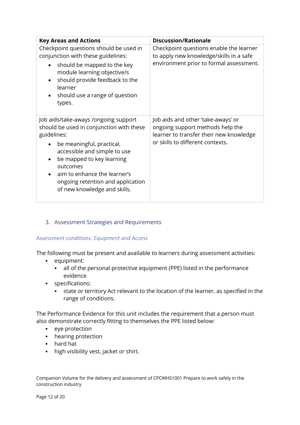| <b>Key Areas and Actions</b>                                                                                                                                                                                                                                                                               | <b>Discussion/Rationale</b>                                                                                                                           |
|------------------------------------------------------------------------------------------------------------------------------------------------------------------------------------------------------------------------------------------------------------------------------------------------------------|-------------------------------------------------------------------------------------------------------------------------------------------------------|
| Checkpoint questions should be used in<br>conjunction with these guidelines:<br>should be mapped to the key<br>module learning objective/s<br>should provide feedback to the<br>learner<br>should use a range of question<br>types.                                                                        | Checkpoint questions enable the learner<br>to apply new knowledge/skills in a safe<br>environment prior to formal assessment.                         |
| Job aids/take-aways /ongoing support<br>should be used in conjunction with these<br>guidelines:<br>be meaningful, practical,<br>accessible and simple to use<br>be mapped to key learning<br>outcomes<br>aim to enhance the learner's<br>ongoing retention and application<br>of new knowledge and skills. | Job aids and other 'take-aways' or<br>ongoing support methods help the<br>learner to transfer their new knowledge<br>or skills to different contexts. |

3. Assessment Strategies and Requirements

#### *Assessment conditions: Equipment and Access*

The following must be present and available to learners during assessment activities:

- § equipment:
	- all of the personal protective equipment (PPE) listed in the performance evidence
- § specifications:
	- state or territory Act relevant to the location of the learner, as specified in the range of conditions.

The Performance Evidence for this unit includes the requirement that a person must also demonstrate correctly fitting to themselves the PPE listed below:

- eye protection
- hearing protection
- § hard hat
- high visibility vest, jacket or shirt.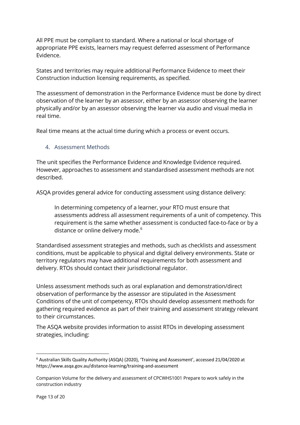All PPE must be compliant to standard. Where a national or local shortage of appropriate PPE exists, learners may request deferred assessment of Performance Evidence.

States and territories may require additional Performance Evidence to meet their Construction induction licensing requirements, as specified.

The assessment of demonstration in the Performance Evidence must be done by direct observation of the learner by an assessor, either by an assessor observing the learner physically and/or by an assessor observing the learner via audio and visual media in real time.

Real time means at the actual time during which a process or event occurs.

#### 4. Assessment Methods

The unit specifies the Performance Evidence and Knowledge Evidence required. However, approaches to assessment and standardised assessment methods are not described.

ASQA provides general advice for conducting assessment using distance delivery:

In determining competency of a learner, your RTO must ensure that assessments address all assessment requirements of a unit of competency. This requirement is the same whether assessment is conducted face-to-face or by a distance or online delivery mode.<sup>6</sup>

Standardised assessment strategies and methods, such as checklists and assessment conditions, must be applicable to physical and digital delivery environments. State or territory regulators may have additional requirements for both assessment and delivery. RTOs should contact their jurisdictional regulator.

Unless assessment methods such as oral explanation and demonstration/direct observation of performance by the assessor are stipulated in the Assessment Conditions of the unit of competency, RTOs should develop assessment methods for gathering required evidence as part of their training and assessment strategy relevant to their circumstances.

The ASQA website provides information to assist RTOs in developing assessment strategies, including:

<sup>6</sup> Australian Skills Quality Authority (ASQA) (2020), 'Training and Assessment', accessed 21/04/2020 at https://www.asqa.gov.au/distance-learning/training-and-assessment

Companion Volume for the delivery and assessment of CPCWHS1001 Prepare to work safely in the construction industry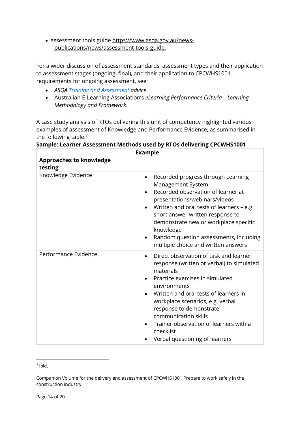• assessment tools guide https://www.asqa.gov.au/newspublications/news/assessment-tools-guide.

For a wider discussion of assessment standards, assessment types and their application to assessment stages (ongoing, final), and their application to CPCWHS1001 requirements for ongoing assessment, see:

- *ASQA Training and Assessment advice*
- Australian E-Learning Association's *eLearning Performance Criteria – Learning Methodology and Framework.*

A case study analysis of RTOs delivering this unit of competency highlighted various examples of assessment of Knowledge and Performance Evidence, as summarised in the following table.<sup>7</sup>

| <b>Approaches to knowledge</b><br>testing | <b>Example</b>                                                                                                                                                                                                                                                                                                                                                                            |
|-------------------------------------------|-------------------------------------------------------------------------------------------------------------------------------------------------------------------------------------------------------------------------------------------------------------------------------------------------------------------------------------------------------------------------------------------|
| Knowledge Evidence                        | Recorded progress through Learning<br>٠<br>Management System<br>Recorded observation of learner at<br>presentations/webinars/videos<br>Written and oral tests of learners - e.g.<br>short answer written response to<br>demonstrate new or workplace specific<br>knowledge<br>Random question assessments, including<br>$\bullet$<br>multiple choice and written answers                  |
| Performance Evidence                      | Direct observation of task and learner<br>$\bullet$<br>response (written or verbal) to simulated<br>materials<br>Practice exercises in simulated<br>environments<br>Written and oral tests of learners in<br>workplace scenarios, e.g. verbal<br>response to demonstrate<br>communication skills<br>Trainer observation of learners with a<br>checklist<br>Verbal questioning of learners |

**Sample: Learner Assessment Methods used by RTOs delivering CPCWHS1001**

 $<sup>7</sup>$  Ibid.</sup>

Companion Volume for the delivery and assessment of CPCWHS1001 Prepare to work safely in the construction industry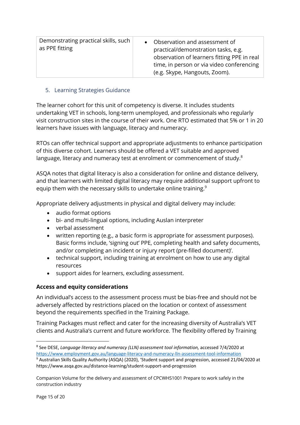| Demonstrating practical skills, such<br>as PPE fitting |
|--------------------------------------------------------|
|--------------------------------------------------------|

#### 5. Learning Strategies Guidance

The learner cohort for this unit of competency is diverse. It includes students undertaking VET in schools, long-term unemployed, and professionals who regularly visit construction sites in the course of their work. One RTO estimated that 5% or 1 in 20 learners have issues with language, literacy and numeracy.

RTOs can offer technical support and appropriate adjustments to enhance participation of this diverse cohort. Learners should be offered a VET suitable and approved language, literacy and numeracy test at enrolment or commencement of study. $^{\rm 8}$ 

ASQA notes that digital literacy is also a consideration for online and distance delivery, and that learners with limited digital literacy may require additional support upfront to equip them with the necessary skills to undertake online training.<sup>9</sup>

Appropriate delivery adjustments in physical and digital delivery may include:

- audio format options
- bi- and multi-lingual options, including Auslan interpreter
- verbal assessment
- written reporting (e.g., a basic form is appropriate for assessment purposes). Basic forms include, 'signing out' PPE, completing health and safety documents, and/or completing an incident or injury report (pre-filled document)'.
- technical support, including training at enrolment on how to use any digital resources
- support aides for learners, excluding assessment.

#### **Access and equity considerations**

An individual's access to the assessment process must be bias-free and should not be adversely affected by restrictions placed on the location or context of assessment beyond the requirements specified in the Training Package.

Training Packages must reflect and cater for the increasing diversity of Australia's VET clients and Australia's current and future workforce. The flexibility offered by Training

<sup>8</sup> See DESE, *Language literacy and numeracy (LLN) assessment tool information,* accessed 7/4/2020 at https://www.employment.gov.au/language-literacy-and-numeracy-lln-assessment-tool-information

<sup>9</sup> Australian Skills Quality Authority (ASQA) (2020), 'Student support and progression, accessed 21/04/2020 at https://www.asqa.gov.au/distance-learning/student-support-and-progression

Companion Volume for the delivery and assessment of CPCWHS1001 Prepare to work safely in the construction industry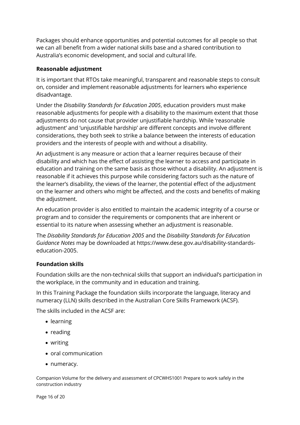Packages should enhance opportunities and potential outcomes for all people so that we can all benefit from a wider national skills base and a shared contribution to Australia's economic development, and social and cultural life.

#### **Reasonable adjustment**

It is important that RTOs take meaningful, transparent and reasonable steps to consult on, consider and implement reasonable adjustments for learners who experience disadvantage.

Under the *Disability Standards for Education 2005*, education providers must make reasonable adjustments for people with a disability to the maximum extent that those adjustments do not cause that provider unjustifiable hardship. While 'reasonable adjustment' and 'unjustifiable hardship' are different concepts and involve different considerations, they both seek to strike a balance between the interests of education providers and the interests of people with and without a disability.

An adjustment is any measure or action that a learner requires because of their disability and which has the effect of assisting the learner to access and participate in education and training on the same basis as those without a disability. An adjustment is reasonable if it achieves this purpose while considering factors such as the nature of the learner's disability, the views of the learner, the potential effect of the adjustment on the learner and others who might be affected, and the costs and benefits of making the adjustment.

An education provider is also entitled to maintain the academic integrity of a course or program and to consider the requirements or components that are inherent or essential to its nature when assessing whether an adjustment is reasonable.

The *Disability Standards for Education 2005* and the *Disability Standards for Education Guidance Notes* may be downloaded at https://www.dese.gov.au/disability-standardseducation-2005.

#### **Foundation skills**

Foundation skills are the non-technical skills that support an individual's participation in the workplace, in the community and in education and training.

In this Training Package the foundation skills incorporate the language, literacy and numeracy (LLN) skills described in the Australian Core Skills Framework (ACSF).

The skills included in the ACSF are:

- learning
- reading
- writing
- oral communication
- numeracy.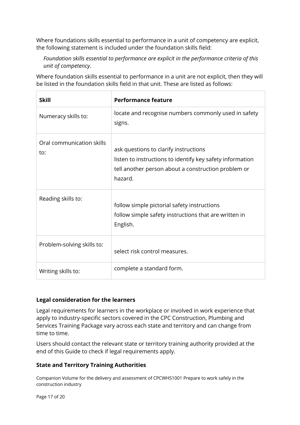Where foundations skills essential to performance in a unit of competency are explicit, the following statement is included under the foundation skills field:

*Foundation skills essential to performance are explicit in the performance criteria of this unit of competency*.

Where foundation skills essential to performance in a unit are not explicit, then they will be listed in the foundation skills field in that unit. These are listed as follows:

| <b>Skill</b>                     | <b>Performance feature</b>                                                                                                                                           |
|----------------------------------|----------------------------------------------------------------------------------------------------------------------------------------------------------------------|
| Numeracy skills to:              | locate and recognise numbers commonly used in safety<br>signs.                                                                                                       |
| Oral communication skills<br>to: | ask questions to clarify instructions<br>listen to instructions to identify key safety information<br>tell another person about a construction problem or<br>hazard. |
| Reading skills to:               | follow simple pictorial safety instructions<br>follow simple safety instructions that are written in<br>English.                                                     |
| Problem-solving skills to:       | select risk control measures.                                                                                                                                        |
| Writing skills to:               | complete a standard form.                                                                                                                                            |

#### **Legal consideration for the learners**

Legal requirements for learners in the workplace or involved in work experience that apply to industry-specific sectors covered in the CPC Construction, Plumbing and Services Training Package vary across each state and territory and can change from time to time.

Users should contact the relevant state or territory training authority provided at the end of this Guide to check if legal requirements apply.

#### **State and Territory Training Authorities**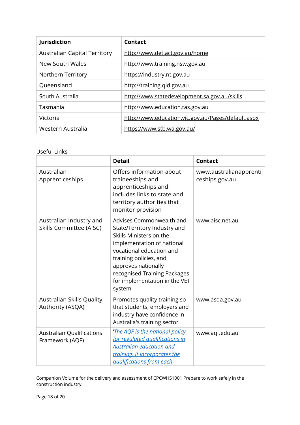| Jurisdiction                        | Contact                                            |
|-------------------------------------|----------------------------------------------------|
| <b>Australian Capital Territory</b> | http://www.det.act.gov.au/home                     |
| New South Wales                     | http://www.training.nsw.gov.au                     |
| Northern Territory                  | https://industry.nt.gov.au                         |
| Queensland                          | http://training.qld.gov.au                         |
| South Australia                     | http://www.statedevelopment.sa.gov.au/skills       |
| Tasmania                            | http://www.education.tas.gov.au                    |
| Victoria                            | http://www.education.vic.gov.au/Pages/default.aspx |
| Western Australia                   | https://www.stb.wa.gov.au/                         |

#### Useful Links

|                                                           | <b>Detail</b>                                                                                                                                                                                                                                                             | <b>Contact</b>                           |
|-----------------------------------------------------------|---------------------------------------------------------------------------------------------------------------------------------------------------------------------------------------------------------------------------------------------------------------------------|------------------------------------------|
| Australian<br>Apprenticeships                             | Offers information about<br>traineeships and<br>apprenticeships and<br>includes links to state and<br>territory authorities that<br>monitor provision                                                                                                                     | www.australianapprenti<br>ceships.gov.au |
| Australian Industry and<br><b>Skills Committee (AISC)</b> | Advises Commonwealth and<br>State/Territory Industry and<br>Skills Ministers on the<br>implementation of national<br>vocational education and<br>training policies, and<br>approves nationally<br>recognised Training Packages<br>for implementation in the VET<br>system | www.aisc.net.au                          |
| Australian Skills Quality<br>Authority (ASQA)             | Promotes quality training so<br>that students, employers and<br>industry have confidence in<br>Australia's training sector                                                                                                                                                | www.asqa.gov.au                          |
| <b>Australian Qualifications</b><br>Framework (AQF)       | 'The AQF is the national policy<br>for regulated qualifications in<br><b>Australian education and</b><br>training. It incorporates the<br><i><u><b>gualifications from each</b></u></i>                                                                                   | www.aqf.edu.au                           |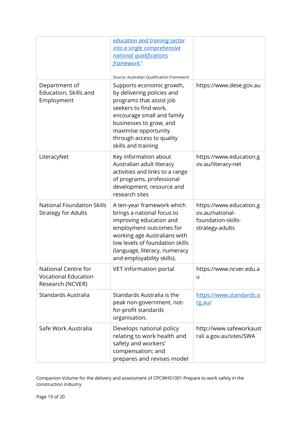|                                                                        | education and training sector<br>into a single comprehensive<br>national qualifications<br>framework.<br>Source: Australian Qualification Framework                                                                                               |                                                                                     |
|------------------------------------------------------------------------|---------------------------------------------------------------------------------------------------------------------------------------------------------------------------------------------------------------------------------------------------|-------------------------------------------------------------------------------------|
| Department of<br>Education, Skills and<br>Employment                   | Supports economic growth,<br>by delivering policies and<br>programs that assist job<br>seekers to find work,<br>encourage small and family<br>businesses to grow, and<br>maximise opportunity<br>through access to quality<br>skills and training | https://www.dese.gov.au                                                             |
| LiteracyNet                                                            | Key information about<br>Australian adult literacy<br>activities and links to a range<br>of programs, professional<br>development, resource and<br>research sites                                                                                 | https://www.education.g<br>ov.au/literacy-net                                       |
| <b>National Foundation Skills</b><br><b>Strategy for Adults</b>        | A ten-year framework which<br>brings a national focus to<br>improving education and<br>employment outcomes for<br>working age Australians with<br>low levels of foundation skills<br>(language, literacy, numeracy<br>and employability skills).  | https://www.education.g<br>ov.au/national-<br>foundation-skills-<br>strategy-adults |
| National Centre for<br><b>Vocational Education</b><br>Research (NCVER) | VET information portal                                                                                                                                                                                                                            | https://www.ncver.edu.a<br>u                                                        |
| Standards Australia                                                    | Standards Australia is the<br>peak non-government, not-<br>for-profit standards<br>organisation.                                                                                                                                                  | https://www.standards.o<br>rg.au/                                                   |
| Safe Work Australia                                                    | Develops national policy<br>relating to work health and<br>safety and workers'<br>compensation; and<br>prepares and revises model                                                                                                                 | http://www.safeworkaust<br>rali a.gov.au/sites/SWA                                  |